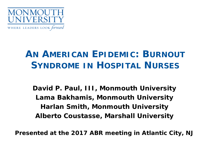

## **AN AMERICAN EPIDEMIC: BURNOUT SYNDROME IN HOSPITAL NURSES**

**David P. Paul, III, Monmouth University Lama Bakhamis, Monmouth University Harlan Smith, Monmouth University Alberto Coustasse, Marshall University**

**Presented at the 2017 ABR meeting in Atlantic City, NJ**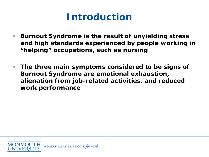## **Introduction**

- Burnout Syndrome is the result of unyielding stress **and high standards experienced by people working in "helping" occupations, such as nursing**
- **The three main symptoms considered to be signs of Burnout Syndrome are emotional exhaustion, alienation from job-related activities, and reduced work performance**

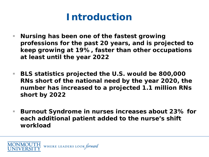## **Introduction**

- **Nursing has been one of the fastest growing professions for the past 20 years, and is projected to keep growing at 19%, faster than other occupations at least until the year 2022**
- **BLS statistics projected the U.S. would be 800,000 RNs short of the national need by the year 2020, the number has increased to a projected 1.1 million RNs short by 2022**
- **Burnout Syndrome in nurses increases about 23% for each additional patient added to the nurse's shift workload**

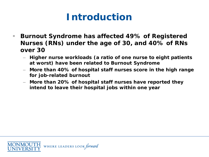# **Introduction**

- Burnout Syndrome has affected 49% of Registered **Nurses (RNs) under the age of 30, and 40% of RNs over 30** 
	- **Higher nurse workloads (a ratio of one nurse to eight patients at worst) have been related to Burnout Syndrome**
	- **More than 40% of hospital staff nurses score in the high range for job-related burnout**
	- **More than 20% of hospital staff nurses have reported they intend to leave their hospital jobs within one year**

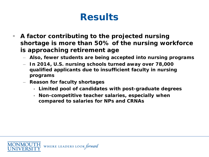- **A factor contributing to the projected nursing shortage is more than 50% of the nursing workforce is approaching retirement age** 
	- **Also, fewer students are being accepted into nursing programs**
	- **In 2014, U.S. nursing schools turned away over 78,000 qualified applicants due to insufficient faculty in nursing programs**
	- **Reason for faculty shortages**
		- **Limited pool of candidates with post-graduate degrees**
		- **Non-competitive teacher salaries, especially when compared to salaries for NPs and CRNAs**

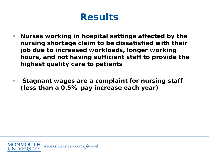- **Nurses working in hospital settings affected by the nursing shortage claim to be dissatisfied with their job due to increased workloads, longer working hours, and not having sufficient staff to provide the highest quality care to patients**
- **Stagnant wages are a complaint for nursing staff (less than a 0.5% pay increase each year)**

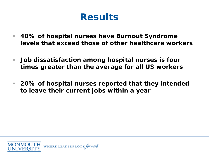- **40% of hospital nurses have Burnout Syndrome levels that exceed those of other healthcare workers**
- **Job dissatisfaction among hospital nurses is four times greater than the average for all US workers**
- **20% of hospital nurses reported that they intended to leave their current jobs within a year**

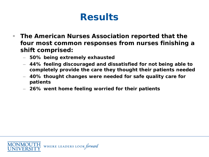- **The American Nurses Association reported that the four most common responses from nurses finishing a shift comprised:**
	- **50% being extremely exhausted**
	- **44% feeling discouraged and dissatisfied for not being able to completely provide the care they thought their patients needed**
	- **40% thought changes were needed for safe quality care for patients**
	- **26% went home feeling worried for their patients**

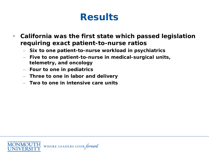- **California was the first state which passed legislation requiring exact patient-to-nurse ratios** 
	- **Six to one patient-to-nurse workload in psychiatrics**
	- **Five to one patient-to-nurse in medical-surgical units, telemetry, and oncology**
	- **Four to one in pediatrics**
	- **Three to one in labor and delivery**
	- **Two to one in intensive care units**

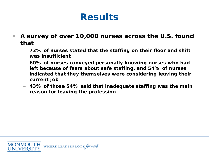- **A survey of over 10,000 nurses across the U.S. found that** 
	- **73% of nurses stated that the staffing on their floor and shift was insufficient**
	- **60% of nurses conveyed personally knowing nurses who had left because of fears about safe staffing, and 54% of nurses indicated that they themselves were considering leaving their current job**
	- **43% of those 54% said that inadequate staffing was the main reason for leaving the profession**

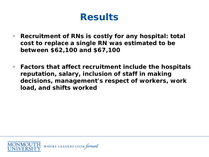- **Recruitment of RNs is costly for any hospital: total cost to replace a single RN was estimated to be between \$62,100 and \$67,100**
- **Factors that affect recruitment include the hospitals reputation, salary, inclusion of staff in making decisions, management's respect of workers, work load, and shifts worked**

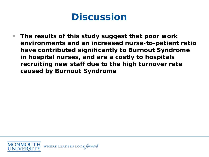#### **Discussion**

 **The results of this study suggest that poor work environments and an increased nurse-to-patient ratio have contributed significantly to Burnout Syndrome in hospital nurses, and are a costly to hospitals recruiting new staff due to the high turnover rate caused by Burnout Syndrome**

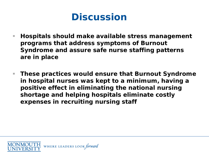#### **Discussion**

- Hospitals should make available stress management **programs that address symptoms of Burnout Syndrome and assure safe nurse staffing patterns are in place**
- **These practices would ensure that Burnout Syndrome in hospital nurses was kept to a minimum, having a positive effect in eliminating the national nursing shortage and helping hospitals eliminate costly expenses in recruiting nursing staff**

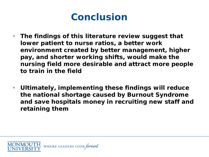#### **Conclusion**

- **The findings of this literature review suggest that lower patient to nurse ratios, a better work environment created by better management, higher pay, and shorter working shifts, would make the nursing field more desirable and attract more people to train in the field**
- **Ultimately, implementing these findings will reduce the national shortage caused by Burnout Syndrome and save hospitals money in recruiting new staff and retaining them**